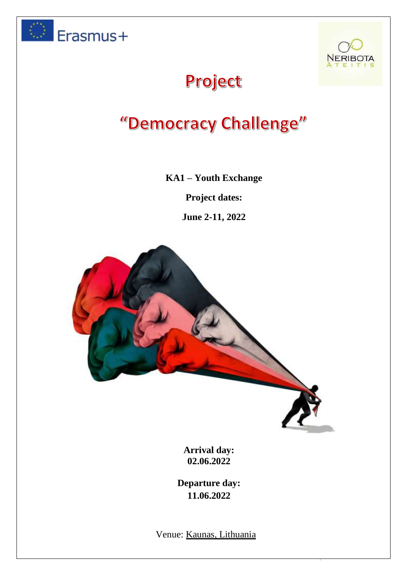



Page **1** of **10**

# Project

# "Democracy Challenge"

#### **KA1 – Youth Exchange**

**Project dates:**

**June 2-11, 2022**



**Arrival day: 02.06.2022**

**Departure day: 11.06.2022**

Venue: Kaunas, Lithuania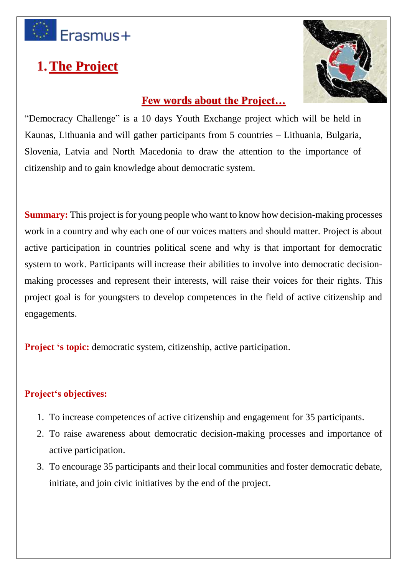

# **1.The Project**



### **Few words about the Project...**

"Democracy Challenge" is a 10 days Youth Exchange project which will be held in Kaunas, Lithuania and will gather participants from 5 countries – Lithuania, Bulgaria, Slovenia, Latvia and North Macedonia to draw the attention to the importance of citizenship and to gain knowledge about democratic system.

**Summary:** This project is for young people who want to know how decision-making processes work in a country and why each one of our voices matters and should matter. Project is about active participation in countries political scene and why is that important for democratic system to work. Participants will increase their abilities to involve into democratic decisionmaking processes and represent their interests, will raise their voices for their rights. This project goal is for youngsters to develop competences in the field of active citizenship and engagements.

**Project 's topic:** democratic system, citizenship, active participation.

#### **Project's objectives:**

- 1. To increase competences of active citizenship and engagement for 35 participants.
- 2. To raise awareness about democratic decision-making processes and importance of active participation.
- 3. To encourage 35 participants and their local communities and foster democratic debate, initiate, and join civic initiatives by the end of the project.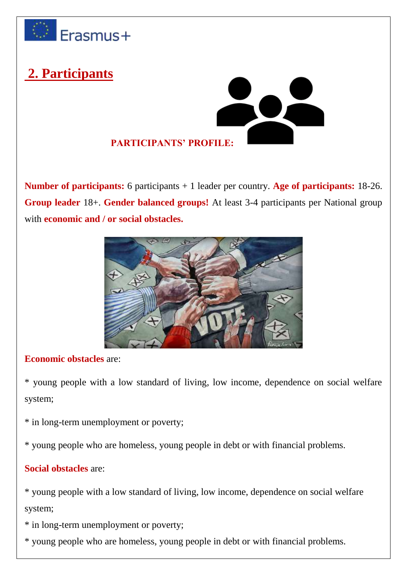

# **2. Participants**



**Number of participants:** 6 participants + 1 leader per country. **Age of participants:** 18-26. **Group leader** 18+. **Gender balanced groups!** At least 3-4 participants per National group with **economic and / or social obstacles.**



#### **Economic obstacles** are:

\* young people with a low standard of living, low income, dependence on social welfare system;

\* in long-term unemployment or poverty;

\* young people who are homeless, young people in debt or with financial problems.

### **Social obstacles** are:

\* young people with a low standard of living, low income, dependence on social welfare system;

- \* in long-term unemployment or poverty;
- \* young people who are homeless, young people in debt or with financial problems.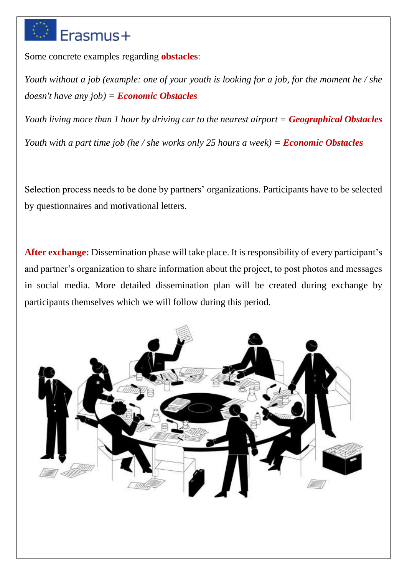# Erasmus+

Some concrete examples regarding **obstacles**:

*Youth without a job (example: one of your youth is looking for a job, for the moment he / she doesn't have any job) = Economic Obstacles*

*Youth living more than 1 hour by driving car to the nearest airport = Geographical Obstacles Youth with a part time job (he / she works only 25 hours a week) = Economic Obstacles*

Selection process needs to be done by partners' organizations. Participants have to be selected by questionnaires and motivational letters.

**After exchange:** Dissemination phase will take place. It is responsibility of every participant's and partner's organization to share information about the project, to post photos and messages in social media. More detailed dissemination plan will be created during exchange by participants themselves which we will follow during this period.

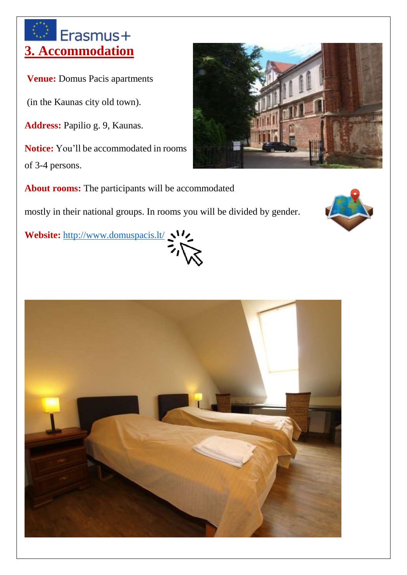# Erasmus+ **3. Accommodation**

**Venue:** Domus Pacis apartments

(in the Kaunas city old town).

**Address:** Papilio g. 9, Kaunas.

**Notice:** You'll be accommodated in rooms of 3-4 persons.



**About rooms:** The participants will be accommodated

mostly in their national groups. In rooms you will be divided by gender.

Website: <http://www.domuspacis.lt/>



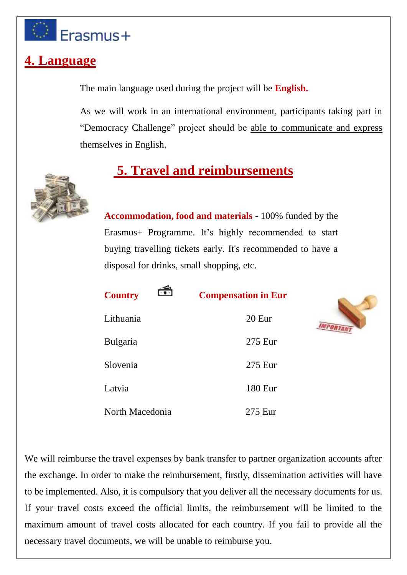

### **4. Language**

The main language used during the project will be **English.**

As we will work in an international environment, participants taking part in "Democracy Challenge" project should be able to communicate and express themselves in English.

# **5. Travel and reimbursements**



**Accommodation, food and materials** - 100% funded by the Erasmus+ Programme. It's highly recommended to start buying travelling tickets early. It's recommended to have a disposal for drinks, small shopping, etc.

| ₹<br><b>Country</b> | <b>Compensation in Eur</b> |
|---------------------|----------------------------|
| Lithuania           | 20 <sub>Eu</sub>           |
| <b>Bulgaria</b>     | 275 Eur                    |
| Slovenia            | 275 Eur                    |
| Latvia              | 180 Eur                    |
| North Macedonia     | 275 Eur                    |



We will reimburse the travel expenses by bank transfer to partner organization accounts after the exchange. In order to make the reimbursement, firstly, dissemination activities will have to be implemented. Also, it is compulsory that you deliver all the necessary documents for us. If your travel costs exceed the official limits, the reimbursement will be limited to the maximum amount of travel costs allocated for each country. If you fail to provide all the necessary travel documents, we will be unable to reimburse you.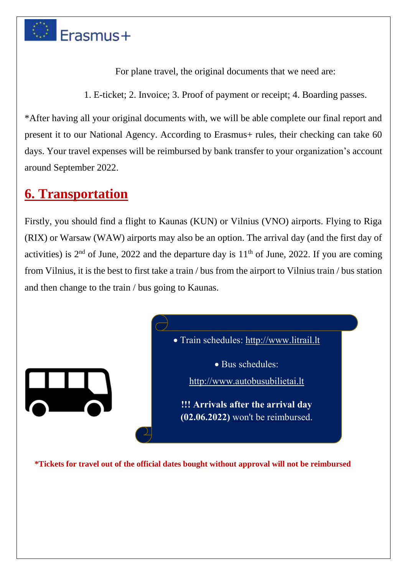

For plane travel, the original documents that we need are:

1. E-ticket; 2. Invoice; 3. Proof of payment or receipt; 4. Boarding passes.

\*After having all your original documents with, we will be able complete our final report and present it to our National Agency. According to Erasmus+ rules, their checking can take 60 days. Your travel expenses will be reimbursed by bank transfer to your organization's account around September 2022.

### **6. Transportation**

Firstly, you should find a flight to Kaunas (KUN) or Vilnius (VNO) airports. Flying to Riga (RIX) or Warsaw (WAW) airports may also be an option. The arrival day (and the first day of activities) is  $2<sup>nd</sup>$  of June, 2022 and the departure day is  $11<sup>th</sup>$  of June, 2022. If you are coming from Vilnius, it is the best to first take a train / bus from the airport to Vilnius train / bus station and then change to the train / bus going to Kaunas.



**\*Tickets for travel out of the official dates bought without approval will not be reimbursed**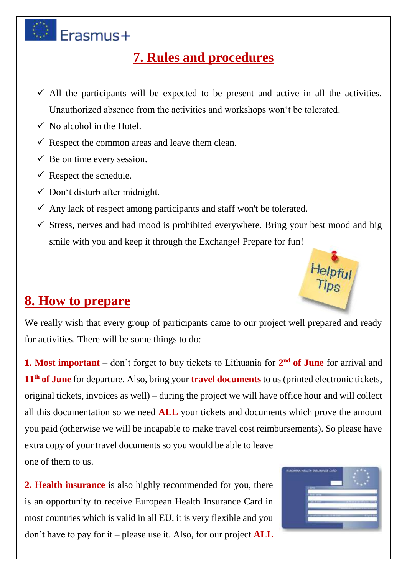

# **7. Rules and procedures**

- $\checkmark$  All the participants will be expected to be present and active in all the activities. Unauthorized absence from the activities and workshops won't be tolerated.
- $\checkmark$  No alcohol in the Hotel.
- $\checkmark$  Respect the common areas and leave them clean.
- $\checkmark$  Be on time every session.
- $\checkmark$  Respect the schedule.
- $\checkmark$  Don't disturb after midnight.
- $\checkmark$  Any lack of respect among participants and staff won't be tolerated.
- $\checkmark$  Stress, nerves and bad mood is prohibited everywhere. Bring your best mood and big smile with you and keep it through the Exchange! Prepare for fun!



### **8. How to prepare**

We really wish that every group of participants came to our project well prepared and ready for activities. There will be some things to do:

**1. Most important** – don't forget to buy tickets to Lithuania for  $2<sup>nd</sup>$  of June for arrival and 11<sup>th</sup> of June for departure. Also, bring your **travel documents** to us (printed electronic tickets, original tickets, invoices as well) – during the project we will have office hour and will collect all this documentation so we need **ALL** your tickets and documents which prove the amount you paid (otherwise we will be incapable to make travel cost reimbursements). So please have extra copy of your travel documents so you would be able to leave one of them to us.

**2. Health insurance** is also highly recommended for you, there is an opportunity to receive European Health Insurance Card in most countries which is valid in all EU, it is very flexible and you don't have to pay for it – please use it. Also, for our project **ALL**

| RUBBRICK HEALTH INSURANCE CAND |  |
|--------------------------------|--|
|                                |  |
|                                |  |
|                                |  |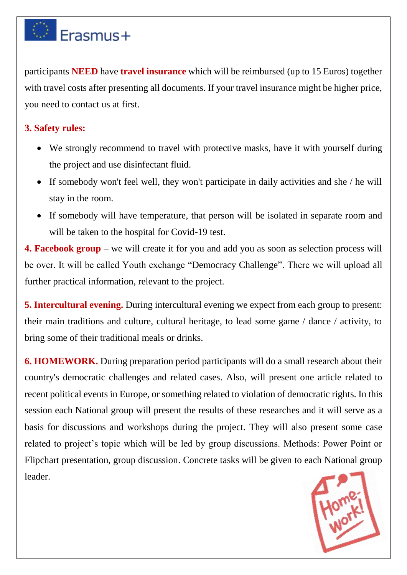

participants **NEED** have **travel insurance** which will be reimbursed (up to 15 Euros) together with travel costs after presenting all documents. If your travel insurance might be higher price, you need to contact us at first.

#### **3. Safety rules:**

- We strongly recommend to travel with protective masks, have it with yourself during the project and use disinfectant fluid.
- If somebody won't feel well, they won't participate in daily activities and she / he will stay in the room.
- If somebody will have temperature, that person will be isolated in separate room and will be taken to the hospital for Covid-19 test.

**4. Facebook group** – we will create it for you and add you as soon as selection process will be over. It will be called Youth exchange "Democracy Challenge". There we will upload all further practical information, relevant to the project.

**5. Intercultural evening.** During intercultural evening we expect from each group to present: their main traditions and culture, cultural heritage, to lead some game / dance / activity, to bring some of their traditional meals or drinks.

**6. HOMEWORK.** During preparation period participants will do a small research about their country's democratic challenges and related cases. Also, will present one article related to recent political events in Europe, or something related to violation of democratic rights. In this session each National group will present the results of these researches and it will serve as a basis for discussions and workshops during the project. They will also present some case related to project's topic which will be led by group discussions. Methods: Power Point or Flipchart presentation, group discussion. Concrete tasks will be given to each National group leader.

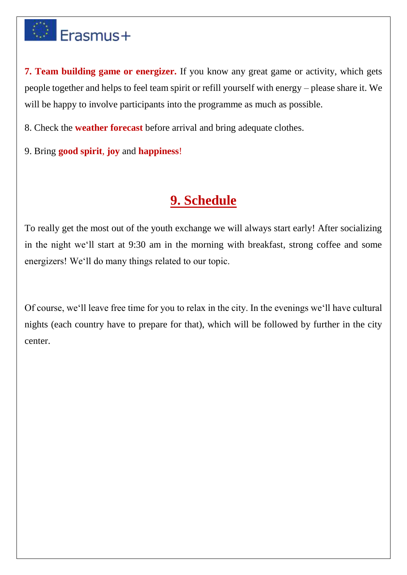# **Erasmus+**

**7. Team building game or energizer.** If you know any great game or activity, which gets people together and helps to feel team spirit or refill yourself with energy – please share it. We will be happy to involve participants into the programme as much as possible.

8. Check the **weather forecast** before arrival and bring adequate clothes.

9. Bring **good spirit**, **joy** and **happiness**!

### **9. Schedule**

To really get the most out of the youth exchange we will always start early! After socializing in the night we'll start at 9:30 am in the morning with breakfast, strong coffee and some energizers! We'll do many things related to our topic.

Of course, we'll leave free time for you to relax in the city. In the evenings we'll have cultural nights (each country have to prepare for that), which will be followed by further in the city center.